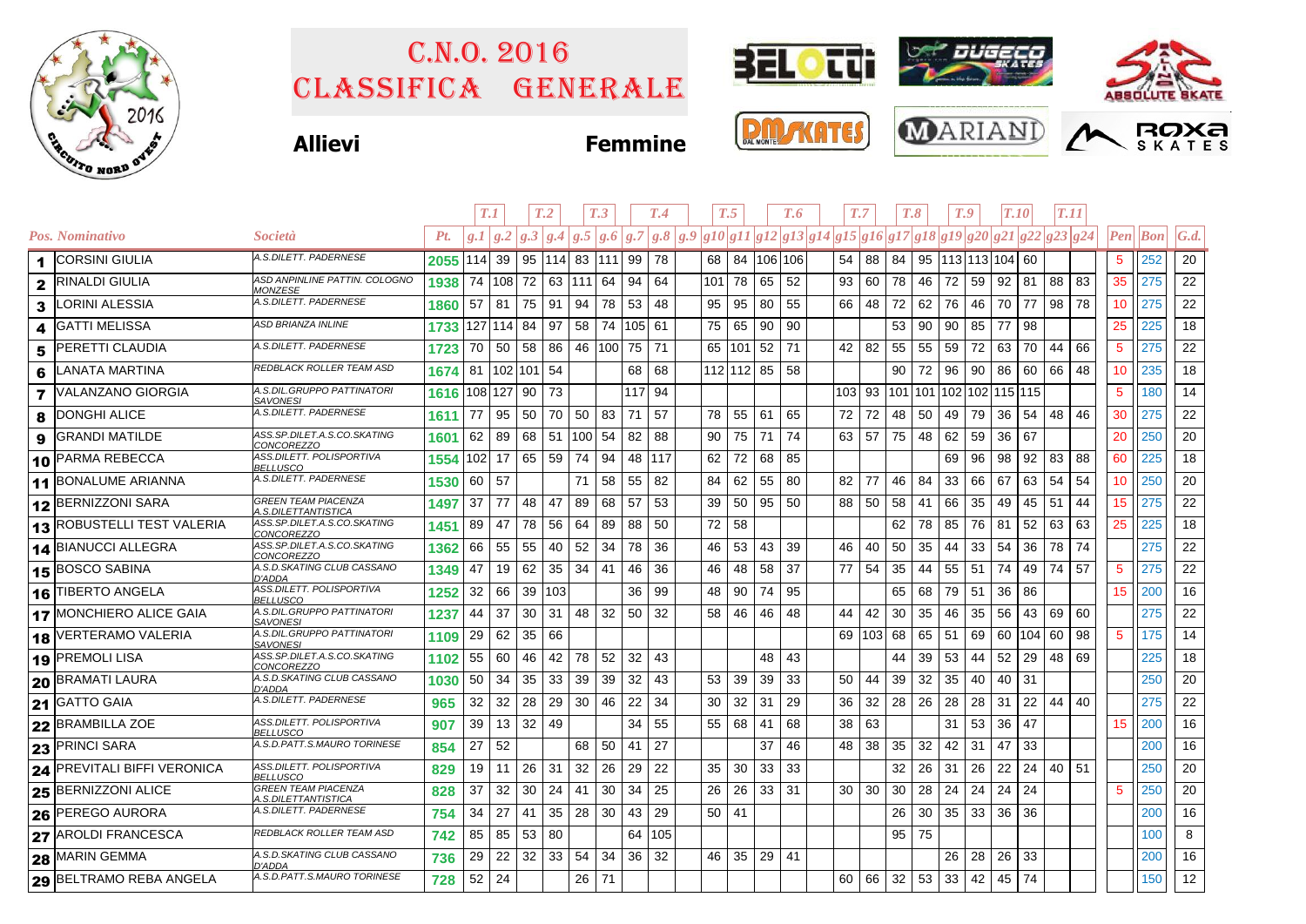

## Classifica generale C.n.o. 2016











**Allievi Fe** 

| emmıne |  |  |
|--------|--|--|
|        |  |  |

|              |                                   |                                                           |          | T.1        |        | T <sub>.2</sub>          |     |            | T <sub>.3</sub> |        | T.4    | T.5 |            |          | T.7<br>T.6                                                                                 |              |          |    | T.8               |     | T.9 | <b>T.10</b>             |        | <b>T.11</b> |    |                 |                          |                   |
|--------------|-----------------------------------|-----------------------------------------------------------|----------|------------|--------|--------------------------|-----|------------|-----------------|--------|--------|-----|------------|----------|--------------------------------------------------------------------------------------------|--------------|----------|----|-------------------|-----|-----|-------------------------|--------|-------------|----|-----------------|--------------------------|-------------------|
|              | Pos. Nominativo                   | Società                                                   | Pt.      | g.I/g.2    |        |                          |     |            |                 |        |        |     |            |          | $ g.3 g.4 g.5 g.6 g.7 g.8 g.9 g10 g11 g12 g13 g14 g15 g16 g17 g18 g19 g20 g21 g22 g23 g24$ |              |          |    |                   |     |     |                         |        |             |    |                 | $\left  Pen \right $ Bon | $\mathcal{G}.d$ . |
| 1            | <b>CORSINI GIULIA</b>             | A.S.DILETT. PADERNESE                                     | 2055 114 |            | 39     | 95   114   83   111   99 |     |            |                 |        | 78     | 68  |            |          | 84 106 106                                                                                 | 54           | 88       | 84 |                   |     |     | 95   113   113   104    | 60     |             |    | $5^{\circ}$     | 252                      | 20                |
| $\mathbf{2}$ | <b>RINALDI GIULIA</b>             | ASD ANPINLINE PATTIN. COLOGNO<br><b>MONZESE</b>           | 1938     | 74         |        | 108 72 63                |     | $111 \ 64$ |                 | 94     | 64     | 101 | 78         | 65       | 52                                                                                         | 93           | 60       | 78 | 46 72             |     | 59  | 92                      | 81     | 88          | 83 | 35              | 275                      | 22                |
| 3            | <b>LORINI ALESSIA</b>             | A.S.DILETT. PADERNESE                                     | 1860     | 57         | 81     | 75                       | 91  | 94         | 78              | 53     | 48     | 95  | 95         | 80       | 55                                                                                         | 66           | 48       | 72 | 62                | 76  | 46  | 70                      | 77     | 98          | 78 | 10 <sup>1</sup> | 275                      | 22                |
| 4            | <b>GATTI MELISSA</b>              | ASD BRIANZA INLINE                                        | 1733     | 127 114 84 |        |                          | 97  | 58         | 74              | 105 61 |        | 75  | 65         | 90       | 90                                                                                         |              |          | 53 | 90                | 90  | 85  | 77                      | 98     |             |    | 25              | 225                      | 18                |
| 5            | <b>PERETTI CLAUDIA</b>            | A.S.DILETT. PADERNESE                                     | 1723     | 70         | 50     | 58 86                    |     | 46 100 75  |                 |        | 71     | 65  |            | $101$ 52 | 71                                                                                         | 42           | 82       | 55 | 55 59             |     | 72  | 63                      | 70     | 44          | 66 | 5 <sup>5</sup>  | 275                      | 22                |
| 6            | <b>LANATA MARTINA</b>             | REDBLACK ROLLER TEAM ASD                                  | 1674     | 81         |        | 102 101 54               |     |            |                 | 68     | 68     |     | 112 112 85 |          | 58                                                                                         |              |          | 90 | 72                | 96  | 90  | 86                      | 60     | 66          | 48 | 10              | 235                      | 18                |
| 7            | <b>VALANZANO GIORGIA</b>          | 4.S.DIL.GRUPPO PATTINATORI<br><u>SAVONESI</u>             | 1616 108 |            | 127 90 |                          | 73  |            |                 | 117 94 |        |     |            |          |                                                                                            | 103 93       |          |    |                   |     |     | 101 101 102 102 115 115 |        |             |    | 5               | 180                      | 14                |
| 8            | <b>DONGHI ALICE</b>               | A.S.DILETT. PADERNESE                                     | 1611     | -77        | 95     | 50                       | 70  | 50         | 83              | 71     | 57     | 78  | 55         | 61       | 65                                                                                         | 72           | 72       | 48 | 50                | 49  | 79  | 36                      | 54     | 48          | 46 | 30              | 275                      | 22                |
| 9            | <b>GRANDI MATILDE</b>             | ASS.SP.DILET.A.S.CO.SKATING<br>CONCOREZZO                 | 1601     | 62         | 89     | 68                       | -51 | 100 54     |                 | 82     | 88     | 90  | 75         | 71       | 74                                                                                         | 63           | -57      | 75 | 48                | 62  | 59  | 36                      | 67     |             |    | 20              | 250                      | 20                |
|              | 10 PARMA REBECCA                  | ASS.DILETT. POLISPORTIVA<br><b>BELLUSCO</b>               | 1554     | 102        | 17     | 65 59                    |     | 74         | 94              | 48 117 |        | 62  | 72         | 68       | 85                                                                                         |              |          |    |                   | 69  | 96  | 98                      | 92     | 83          | 88 | 60              | 225                      | 18                |
|              | 11 BONALUME ARIANNA               | A.S.DILETT. PADERNESE                                     | 1530     | 60         | 57     |                          |     | 71         | 58              | 55     | 82     | 84  | 62         | 55       | 80                                                                                         | 82           | -77      | 46 | 84                | 33  | 66  | 67                      | 63     | 54          | 54 | 10 <sup>°</sup> | 250                      | 20                |
|              | 12 BERNIZZONI SARA                | GREEN TEAM PIACENZA<br>.S.DILETTANTISTICA                 | 1497     | 37         | 77     | 48                       | 47  | 89         | 68              | 57     | 53     | 39  | 50         | 95       | 50                                                                                         | 88           | 50       | 58 | 41                | 66  | 35  | 49                      | 45     | 51          | 44 | 15              | 275                      | 22                |
|              | <b>13 ROBUSTELLI TEST VALERIA</b> | ASS.SP.DILET.A.S.CO.SKATING<br><i>CONCOREZZO</i>          | 1451     | 89         | 47     | 78                       | 56  | 64         | 89              | 88     | 50     | 72  | 58         |          |                                                                                            |              |          | 62 | 78                | 85  | 76  | 81                      | 52     | 63          | 63 | 25              | 225                      | 18                |
|              | 14 BIANUCCI ALLEGRA               | ASS.SP.DILET.A.S.CO.SKATING<br><u>CONCOREZZO</u>          | 1362     | 66         | 55     | 55                       | 40  | 52         | 34              | 78     | 36     | 46  | 53         | 43       | 39                                                                                         | 46           | 40       | 50 | 35                | 44  | 33  | 54                      | 36     | 78          | 74 |                 | 275                      | 22                |
|              | 15 BOSCO SABINA                   | A.S.D.SKATING CLUB CASSANO<br>D'ADDA                      | 1349     | 47         | 19     | 62                       | 35  | 34         | 41              | 46     | 36     | 46  | 48         | 58       | -37                                                                                        | 77           | 54       | 35 | 44                | 55  | 51  | 74                      | 49     | 74          | 57 | 5               | 275                      | 22                |
|              | 16 TIBERTO ANGELA                 | ASS.DILETT. POLISPORTIVA<br><b>BELLUSCO</b>               | 1252     | 32         | 66     | 39 103                   |     |            |                 | 36     | 99     | 48  | 90         | 74       | 95                                                                                         |              |          | 65 | 68                | -79 | 51  | 36                      | 86     |             |    | 15              | 200                      | 16                |
|              | <b>17 MONCHIERO ALICE GAIA</b>    | A.S.DIL.GRUPPO PATTINATORI<br>SAVONESI                    | 1237     | 44         | 37     | 30                       | 31  | 48         | 32              | 50     | 32     | 58  | 46         | 46       | 48                                                                                         | 44           | 42       | 30 | 35                | 46  | 35  | 56                      | 43     | 69          | 60 |                 | 275                      | 22                |
|              | 18 VERTERAMO VALERIA              | A.S.DIL.GRUPPO PATTINATORI<br><b>SAVONESI</b>             | 1109     | 29         | 62     | 35                       | 66  |            |                 |        |        |     |            |          |                                                                                            |              | 69   103 | 68 | 65                | 51  | 69  |                         | 60 104 | 60          | 98 | $5\phantom{.0}$ | 175                      | 14                |
|              | 19 PREMOLI LISA                   | ASS.SP.DILET.A.S.CO.SKATING<br>CONCOREZZO                 | 1102     | 55         | 60     | 46                       | 42  | 78         | 52              | 32     | 43     |     |            | 48       | 43                                                                                         |              |          | 44 | 39                | 53  | 44  | 52                      | 29     | 48          | 69 |                 | 225                      | 18                |
|              | <b>20 BRAMATI LAURA</b>           | A.S.D.SKATING CLUB CASSANO<br>D'ADDA                      | 1030     | 50         | 34     | 35                       | 33  | 39         | 39              | 32     | 43     | 53  | 39         | 39       | 33                                                                                         | 50           | 44       | 39 | 32                | 35  | 40  | 40                      | 31     |             |    |                 | 250                      | 20                |
|              | 21 GATTO GAIA                     | A.S.DILETT. PADERNESE                                     | 965      | 32         | 32     | 28                       | 29  | 30         | 46              | 22     | 34     | 30  | 32         | 31       | 29                                                                                         | 36           | 32       | 28 | 26                | 28  | 28  | 31                      | 22     | 44          | 40 |                 | 275                      | 22                |
|              | 22 BRAMBILLA ZOE                  | 4SS.DILETT. POLISPORTIVA<br><b>BELLUSCO</b>               | 907      | 39         | 13     | 32                       | 49  |            |                 | 34     | 55     | 55  | 68         | 41       | 68                                                                                         | 38           | 63       |    |                   | 31  | 53  | 36                      | 47     |             |    | 15              | 200                      | 16                |
|              | 23 PRINCI SARA                    | A.S.D.PATT.S.MAURO TORINESE                               | 854      | 27         | 52     |                          |     | 68         | 50              | -41    | 27     |     |            | 37       | 46                                                                                         | 48           | 38       | 35 | 32                | 42  | 31  | 47                      | 33     |             |    |                 | 200                      | 16                |
|              | 24 PREVITALI BIFFI VERONICA       | ASS.DILETT. POLISPORTIVA<br><b>BELLUSCO</b>               | 829      | 19         | 11     | 26                       | 31  | 32         | 26              | 29     | 22     | 35  | 30         | 33       | 33                                                                                         |              |          | 32 | 26                | 31  | 26  | 22                      | 24     | 40 51       |    |                 | 250                      | 20                |
|              | 25 BERNIZZONI ALICE               | <b>GREEN TEAM PIACENZA</b><br><u> 4.S.DILETTANTISTICA</u> | 828      | 37         | 32     | 30                       | -24 | 41         | 30              | 34     | 25     | 26  | 26         |          | $33 \mid 31$                                                                               | $30 \mid 30$ |          | 30 | 28 24             |     | 24  | 24                      | 24     |             |    | 5               | 250                      | 20                |
|              | 26 PEREGO AURORA                  | A.S.DILETT. PADERNESE                                     | 754      | 34         | 27     | 41                       | 35  | 28         | 30              | 43     | 29     | 50  | -41        |          |                                                                                            |              |          | 26 | $30 \mid 35 \mid$ |     | 33  | 36                      | 36     |             |    |                 | 200                      | 16                |
|              | 27 AROLDI FRANCESCA               | REDBLACK ROLLER TEAM ASD                                  | 742      | 85         | 85     | 53                       | 80  |            |                 |        | 64 105 |     |            |          |                                                                                            |              |          | 95 | 75                |     |     |                         |        |             |    |                 | 100                      | 8                 |
|              | 28 MARIN GEMMA                    | A.S.D.SKATING CLUB CASSANO<br>D'ADDA                      | 736      | 29         | 22     | 32                       | 33  | 54         | 34              | 36     | 32     | 46  | 35         | 29       | 41                                                                                         |              |          |    |                   | 26  | 28  | 26                      | 33     |             |    |                 | 200                      | 16                |
|              | 29 BELTRAMO REBA ANGELA           | A.S.D.PATT.S.MAURO TORINESE                               | 728      | 52         | 24     |                          |     | 26 71      |                 |        |        |     |            |          |                                                                                            | 60           | 66       | 32 | 53                | 33  | 42  | 45                      | 74     |             |    |                 | 150                      | 12                |